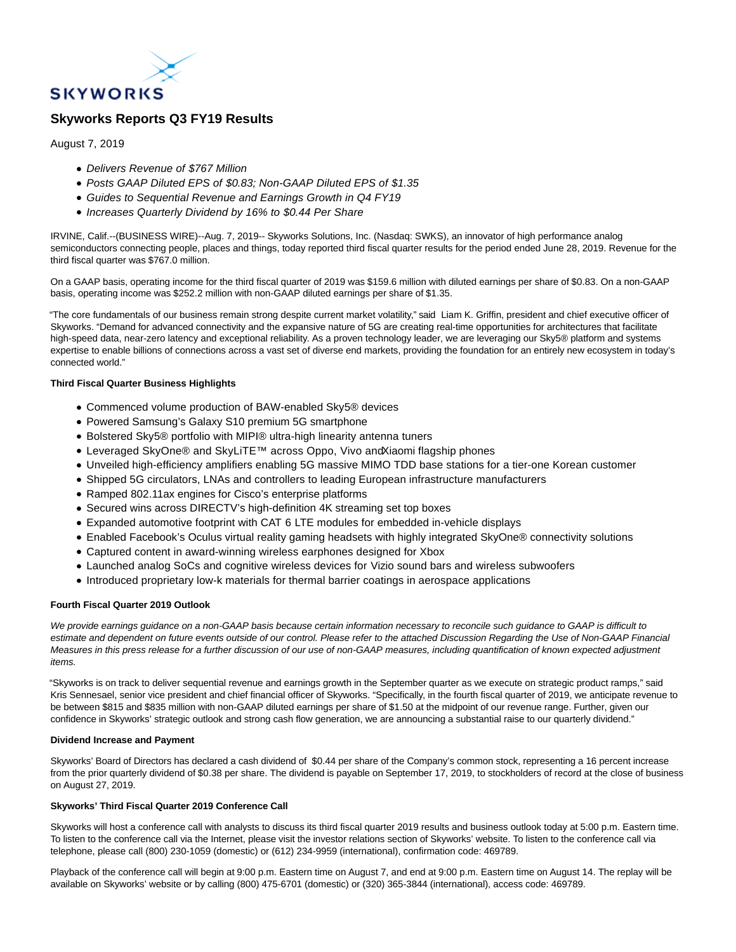

# **Skyworks Reports Q3 FY19 Results**

August 7, 2019

- Delivers Revenue of \$767 Million
- Posts GAAP Diluted EPS of \$0.83; Non-GAAP Diluted EPS of \$1.35
- Guides to Sequential Revenue and Earnings Growth in Q4 FY19
- Increases Quarterly Dividend by 16% to \$0.44 Per Share

IRVINE, Calif.--(BUSINESS WIRE)--Aug. 7, 2019-- Skyworks Solutions, Inc. (Nasdaq: SWKS), an innovator of high performance analog semiconductors connecting people, places and things, today reported third fiscal quarter results for the period ended June 28, 2019. Revenue for the third fiscal quarter was \$767.0 million.

On a GAAP basis, operating income for the third fiscal quarter of 2019 was \$159.6 million with diluted earnings per share of \$0.83. On a non-GAAP basis, operating income was \$252.2 million with non-GAAP diluted earnings per share of \$1.35.

"The core fundamentals of our business remain strong despite current market volatility," said Liam K. Griffin, president and chief executive officer of Skyworks. "Demand for advanced connectivity and the expansive nature of 5G are creating real-time opportunities for architectures that facilitate high-speed data, near-zero latency and exceptional reliability. As a proven technology leader, we are leveraging our Sky5® platform and systems expertise to enable billions of connections across a vast set of diverse end markets, providing the foundation for an entirely new ecosystem in today's connected world."

## **Third Fiscal Quarter Business Highlights**

- Commenced volume production of BAW-enabled Sky5® devices
- Powered Samsung's Galaxy S10 premium 5G smartphone
- Bolstered Sky5® portfolio with MIPI® ultra-high linearity antenna tuners
- Leveraged SkyOne® and SkyLiTE™ across Oppo, Vivo and Xiaomi flagship phones
- Unveiled high-efficiency amplifiers enabling 5G massive MIMO TDD base stations for a tier-one Korean customer
- Shipped 5G circulators, LNAs and controllers to leading European infrastructure manufacturers
- Ramped 802.11ax engines for Cisco's enterprise platforms
- Secured wins across DIRECTV's high-definition 4K streaming set top boxes
- Expanded automotive footprint with CAT 6 LTE modules for embedded in-vehicle displays
- Enabled Facebook's Oculus virtual reality gaming headsets with highly integrated SkyOne® connectivity solutions
- Captured content in award-winning wireless earphones designed for Xbox
- Launched analog SoCs and cognitive wireless devices for Vizio sound bars and wireless subwoofers
- Introduced proprietary low-k materials for thermal barrier coatings in aerospace applications

### **Fourth Fiscal Quarter 2019 Outlook**

We provide earnings quidance on a non-GAAP basis because certain information necessary to reconcile such quidance to GAAP is difficult to estimate and dependent on future events outside of our control. Please refer to the attached Discussion Regarding the Use of Non-GAAP Financial Measures in this press release for a further discussion of our use of non-GAAP measures, including quantification of known expected adjustment items.

"Skyworks is on track to deliver sequential revenue and earnings growth in the September quarter as we execute on strategic product ramps," said Kris Sennesael, senior vice president and chief financial officer of Skyworks. "Specifically, in the fourth fiscal quarter of 2019, we anticipate revenue to be between \$815 and \$835 million with non-GAAP diluted earnings per share of \$1.50 at the midpoint of our revenue range. Further, given our confidence in Skyworks' strategic outlook and strong cash flow generation, we are announcing a substantial raise to our quarterly dividend."

## **Dividend Increase and Payment**

Skyworks' Board of Directors has declared a cash dividend of \$0.44 per share of the Company's common stock, representing a 16 percent increase from the prior quarterly dividend of \$0.38 per share. The dividend is payable on September 17, 2019, to stockholders of record at the close of business on August 27, 2019.

## **Skyworks' Third Fiscal Quarter 2019 Conference Call**

Skyworks will host a conference call with analysts to discuss its third fiscal quarter 2019 results and business outlook today at 5:00 p.m. Eastern time. To listen to the conference call via the Internet, please visit the investor relations section of Skyworks' website. To listen to the conference call via telephone, please call (800) 230-1059 (domestic) or (612) 234-9959 (international), confirmation code: 469789.

Playback of the conference call will begin at 9:00 p.m. Eastern time on August 7, and end at 9:00 p.m. Eastern time on August 14. The replay will be available on Skyworks' website or by calling (800) 475-6701 (domestic) or (320) 365-3844 (international), access code: 469789.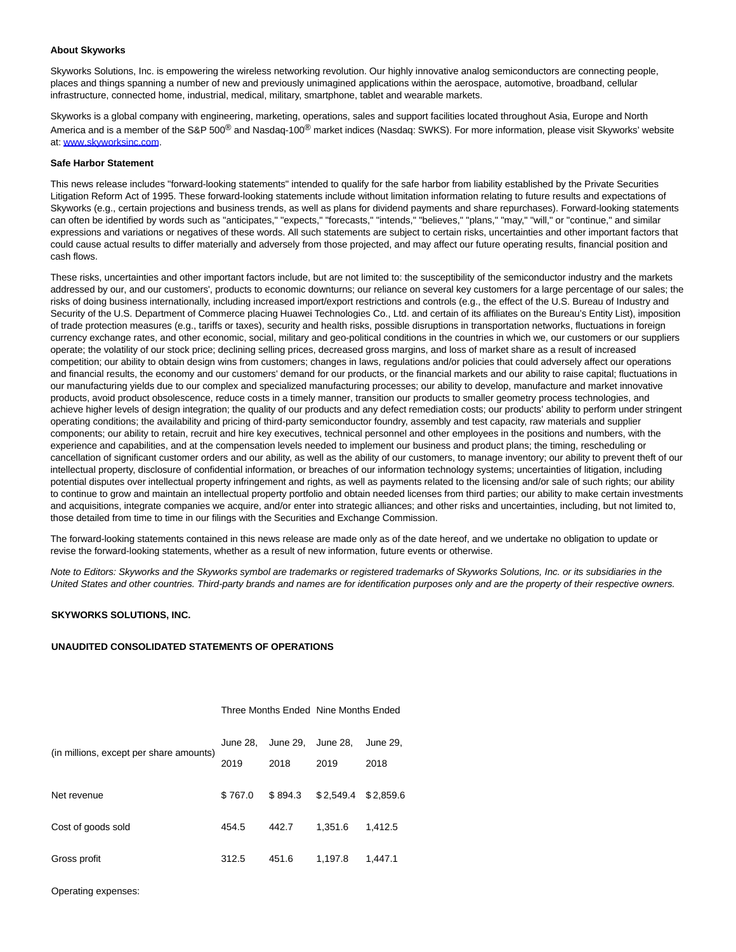#### **About Skyworks**

Skyworks Solutions, Inc. is empowering the wireless networking revolution. Our highly innovative analog semiconductors are connecting people, places and things spanning a number of new and previously unimagined applications within the aerospace, automotive, broadband, cellular infrastructure, connected home, industrial, medical, military, smartphone, tablet and wearable markets.

Skyworks is a global company with engineering, marketing, operations, sales and support facilities located throughout Asia, Europe and North America and is a member of the S&P 500<sup>®</sup> and Nasdaq-100<sup>®</sup> market indices (Nasdaq: SWKS). For more information, please visit Skyworks' website at: [www.skyworksinc.com.](https://cts.businesswire.com/ct/CT?id=smartlink&url=http%3A%2F%2Fwww.skyworksinc.com&esheet=52075767&newsitemid=20190807005799&lan=en-US&anchor=www.skyworksinc.com&index=1&md5=5aa8c2870584780d4928d5cdcc21dec7)

#### **Safe Harbor Statement**

This news release includes "forward-looking statements" intended to qualify for the safe harbor from liability established by the Private Securities Litigation Reform Act of 1995. These forward-looking statements include without limitation information relating to future results and expectations of Skyworks (e.g., certain projections and business trends, as well as plans for dividend payments and share repurchases). Forward-looking statements can often be identified by words such as "anticipates," "expects," "forecasts," "intends," "believes," "plans," "may," "will," or "continue," and similar expressions and variations or negatives of these words. All such statements are subject to certain risks, uncertainties and other important factors that could cause actual results to differ materially and adversely from those projected, and may affect our future operating results, financial position and cash flows.

These risks, uncertainties and other important factors include, but are not limited to: the susceptibility of the semiconductor industry and the markets addressed by our, and our customers', products to economic downturns; our reliance on several key customers for a large percentage of our sales; the risks of doing business internationally, including increased import/export restrictions and controls (e.g., the effect of the U.S. Bureau of Industry and Security of the U.S. Department of Commerce placing Huawei Technologies Co., Ltd. and certain of its affiliates on the Bureau's Entity List), imposition of trade protection measures (e.g., tariffs or taxes), security and health risks, possible disruptions in transportation networks, fluctuations in foreign currency exchange rates, and other economic, social, military and geo-political conditions in the countries in which we, our customers or our suppliers operate; the volatility of our stock price; declining selling prices, decreased gross margins, and loss of market share as a result of increased competition; our ability to obtain design wins from customers; changes in laws, regulations and/or policies that could adversely affect our operations and financial results, the economy and our customers' demand for our products, or the financial markets and our ability to raise capital; fluctuations in our manufacturing yields due to our complex and specialized manufacturing processes; our ability to develop, manufacture and market innovative products, avoid product obsolescence, reduce costs in a timely manner, transition our products to smaller geometry process technologies, and achieve higher levels of design integration; the quality of our products and any defect remediation costs; our products' ability to perform under stringent operating conditions; the availability and pricing of third-party semiconductor foundry, assembly and test capacity, raw materials and supplier components; our ability to retain, recruit and hire key executives, technical personnel and other employees in the positions and numbers, with the experience and capabilities, and at the compensation levels needed to implement our business and product plans; the timing, rescheduling or cancellation of significant customer orders and our ability, as well as the ability of our customers, to manage inventory; our ability to prevent theft of our intellectual property, disclosure of confidential information, or breaches of our information technology systems; uncertainties of litigation, including potential disputes over intellectual property infringement and rights, as well as payments related to the licensing and/or sale of such rights; our ability to continue to grow and maintain an intellectual property portfolio and obtain needed licenses from third parties; our ability to make certain investments and acquisitions, integrate companies we acquire, and/or enter into strategic alliances; and other risks and uncertainties, including, but not limited to, those detailed from time to time in our filings with the Securities and Exchange Commission.

The forward-looking statements contained in this news release are made only as of the date hereof, and we undertake no obligation to update or revise the forward-looking statements, whether as a result of new information, future events or otherwise.

Note to Editors: Skyworks and the Skyworks symbol are trademarks or registered trademarks of Skyworks Solutions, Inc. or its subsidiaries in the United States and other countries. Third-party brands and names are for identification purposes only and are the property of their respective owners.

### **SKYWORKS SOLUTIONS, INC.**

### **UNAUDITED CONSOLIDATED STATEMENTS OF OPERATIONS**

|                                         |          |                   | Three Months Ended Nine Months Ended |           |
|-----------------------------------------|----------|-------------------|--------------------------------------|-----------|
| (in millions, except per share amounts) | June 28. | June 29, June 28, |                                      | June 29.  |
|                                         | 2019     | 2018              | 2019                                 | 2018      |
| Net revenue                             | \$767.0  | \$894.3           | \$2,549.4                            | \$2.859.6 |
| Cost of goods sold                      | 454.5    | 442.7             | 1.351.6                              | 1,412.5   |
| Gross profit                            | 312.5    | 451.6             | 1.197.8                              | 1.447.1   |

Operating expenses: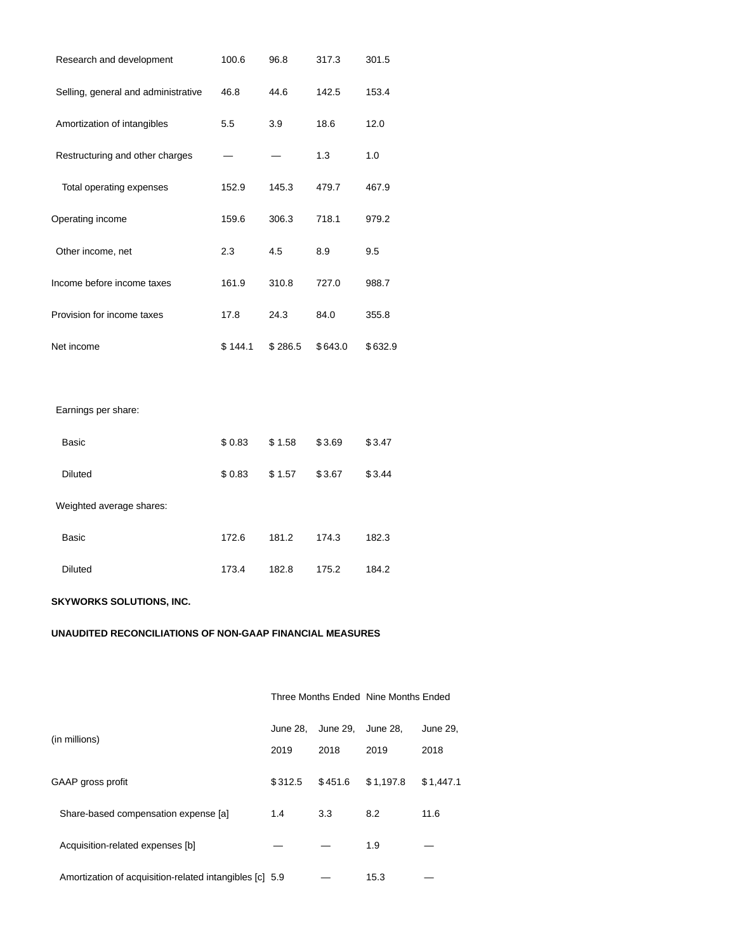| Research and development                                 | 100.6   | 96.8    | 317.3   | 301.5   |  |  |  |  |
|----------------------------------------------------------|---------|---------|---------|---------|--|--|--|--|
| Selling, general and administrative                      | 46.8    | 44.6    | 142.5   | 153.4   |  |  |  |  |
| Amortization of intangibles                              | 5.5     | 3.9     | 18.6    | 12.0    |  |  |  |  |
| Restructuring and other charges                          |         |         | 1.3     | 1.0     |  |  |  |  |
| Total operating expenses                                 | 152.9   | 145.3   | 479.7   | 467.9   |  |  |  |  |
| Operating income                                         | 159.6   | 306.3   | 718.1   | 979.2   |  |  |  |  |
| Other income, net                                        | 2.3     | 4.5     | 8.9     | 9.5     |  |  |  |  |
| Income before income taxes                               | 161.9   | 310.8   | 727.0   | 988.7   |  |  |  |  |
| Provision for income taxes                               | 17.8    | 24.3    | 84.0    | 355.8   |  |  |  |  |
| Net income                                               | \$144.1 | \$286.5 | \$643.0 | \$632.9 |  |  |  |  |
|                                                          |         |         |         |         |  |  |  |  |
| Earnings per share:                                      |         |         |         |         |  |  |  |  |
| Basic                                                    | \$0.83  | \$1.58  | \$3.69  | \$3.47  |  |  |  |  |
| Diluted                                                  | \$0.83  | \$1.57  | \$3.67  | \$3.44  |  |  |  |  |
| Weighted average shares:                                 |         |         |         |         |  |  |  |  |
| <b>Basic</b>                                             | 172.6   | 181.2   | 174.3   | 182.3   |  |  |  |  |
| <b>Diluted</b>                                           | 173.4   | 182.8   | 175.2   | 184.2   |  |  |  |  |
| <b>SKYWORKS SOLUTIONS, INC.</b>                          |         |         |         |         |  |  |  |  |
| UNAUDITED RECONCILIATIONS OF NON-GAAP FINANCIAL MEASURES |         |         |         |         |  |  |  |  |

|                                                         |                  |                  | Three Months Ended Nine Months Ended |                  |  |
|---------------------------------------------------------|------------------|------------------|--------------------------------------|------------------|--|
| (in millions)                                           | June 28,<br>2019 | June 29.<br>2018 | June 28,<br>2019                     | June 29,<br>2018 |  |
| GAAP gross profit                                       | \$312.5          | \$451.6          | \$1.197.8                            | \$1,447.1        |  |
| Share-based compensation expense [a]                    | 1.4              | 3.3              | 8.2                                  | 11.6             |  |
| Acquisition-related expenses [b]                        |                  |                  | 1.9                                  |                  |  |
| Amortization of acquisition-related intangibles [c] 5.9 |                  |                  | 15.3                                 |                  |  |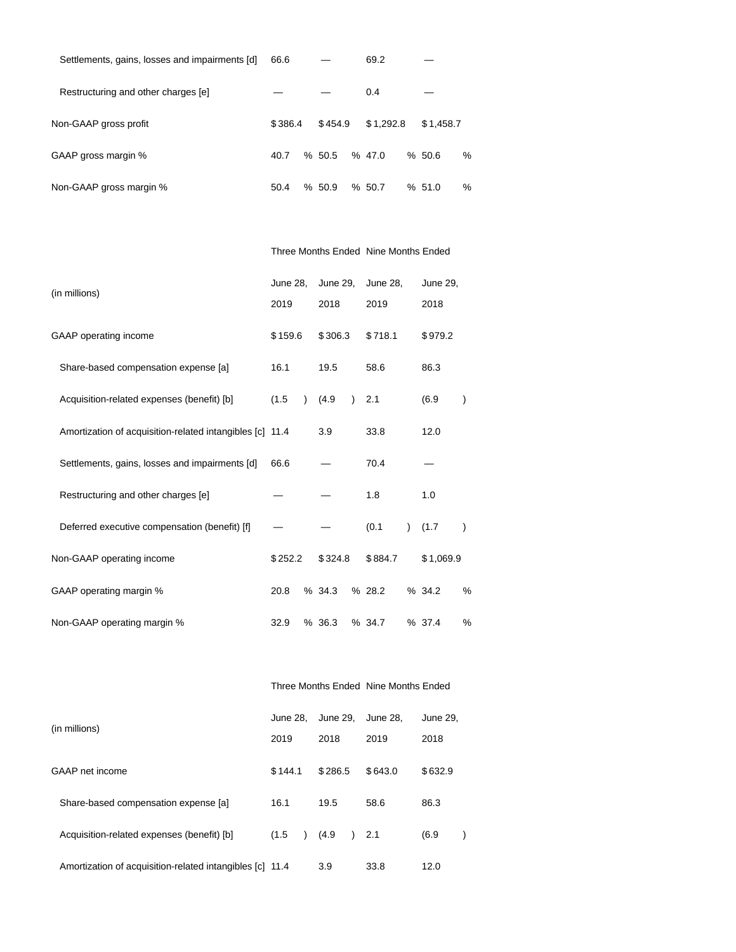| Settlements, gains, losses and impairments [d] | 66.6    |  |         |  | 69.2      |           |   |  |
|------------------------------------------------|---------|--|---------|--|-----------|-----------|---|--|
| Restructuring and other charges [e]            |         |  |         |  |           | 0.4       |   |  |
| Non-GAAP gross profit                          | \$386.4 |  | \$454.9 |  | \$1,292.8 | \$1,458.7 |   |  |
| GAAP gross margin %                            | 40.7    |  | %50.5   |  | % 47.0    | %50.6     | % |  |
| Non-GAAP gross margin %                        | 50.4    |  | %50.9   |  | %50.7     | %51.0     | % |  |

## Three Months Ended Nine Months Ended

|                                                          |                    | June 28,      |         | June 29, |         | June 28, |           | <b>June 29,</b> |
|----------------------------------------------------------|--------------------|---------------|---------|----------|---------|----------|-----------|-----------------|
| (in millions)                                            | 2019               |               | 2018    |          | 2019    |          | 2018      |                 |
| GAAP operating income                                    | \$159.6<br>\$306.3 |               | \$718.1 |          | \$979.2 |          |           |                 |
| Share-based compensation expense [a]                     | 16.1               |               | 19.5    |          | 58.6    |          | 86.3      |                 |
| Acquisition-related expenses (benefit) [b]               | (1.5)              | $\mathcal{L}$ | (4.9)   |          | 2.1     |          | (6.9)     | $\lambda$       |
| Amortization of acquisition-related intangibles [c] 11.4 |                    |               | 3.9     |          | 33.8    |          | 12.0      |                 |
| Settlements, gains, losses and impairments [d]           | 66.6               |               |         |          | 70.4    |          |           |                 |
| Restructuring and other charges [e]                      |                    |               |         |          | 1.8     |          | 1.0       |                 |
| Deferred executive compensation (benefit) [f]            |                    |               |         |          | (0.1)   |          | (1.7)     | $\lambda$       |
| Non-GAAP operating income                                | \$252.2            |               | \$324.8 |          | \$884.7 |          | \$1,069.9 |                 |
| GAAP operating margin %                                  | 20.8               |               | %34.3   |          | % 28.2  |          | %34.2     | %               |
| Non-GAAP operating margin %                              | 32.9               |               | % 36.3  |          | %34.7   |          | % 37.4    | %               |

# Three Months Ended Nine Months Ended

| (in millions)                                            | June 28.               | June 29.           | June 28. | June 29, |  |
|----------------------------------------------------------|------------------------|--------------------|----------|----------|--|
|                                                          | 2019                   | 2018               | 2019     | 2018     |  |
| GAAP net income                                          | \$144.1                | \$286.5            | \$643.0  | \$632.9  |  |
| Share-based compensation expense [a]                     | 16.1                   | 19.5               | 58.6     | 86.3     |  |
| Acquisition-related expenses (benefit) [b]               | (1.5)<br>$\mathcal{L}$ | (4.9)<br>$\lambda$ | - 2.1    | (6.9)    |  |
| Amortization of acquisition-related intangibles [c] 11.4 |                        | 3.9                | 33.8     | 12.0     |  |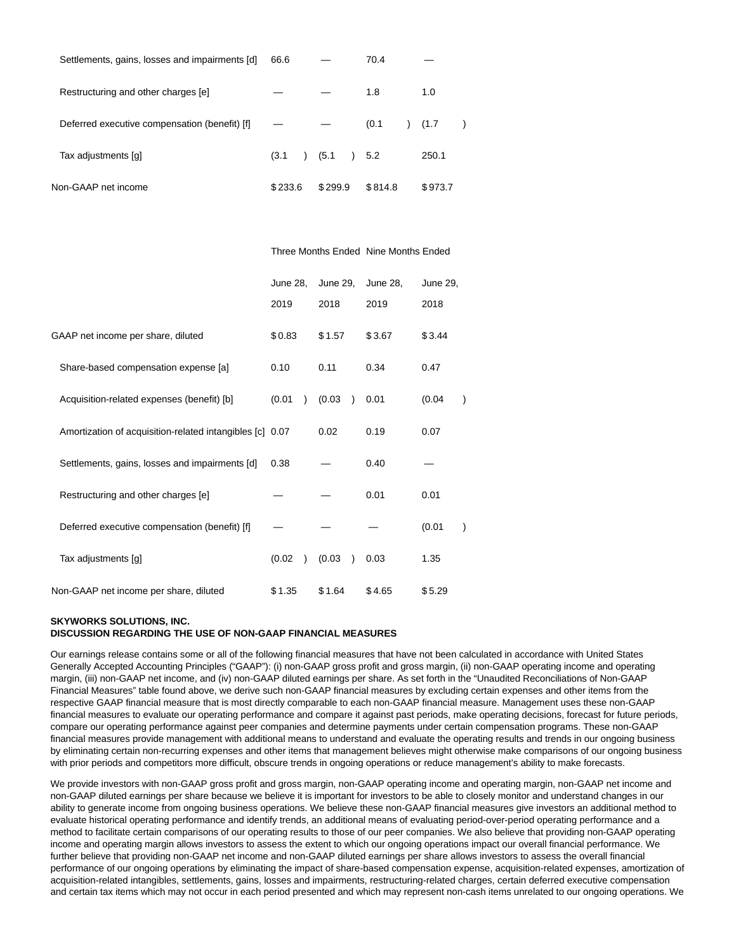| Settlements, gains, losses and impairments [d] | 66.6    |             | 70.4    |         |  |
|------------------------------------------------|---------|-------------|---------|---------|--|
| Restructuring and other charges [e]            |         |             | 1.8     | 1.0     |  |
| Deferred executive compensation (benefit) [f]  |         |             | (0.1)   | (1.7)   |  |
| Tax adjustments [g]                            |         | (3.1) (5.1) | 5.2     | 250.1   |  |
| Non-GAAP net income                            | \$233.6 | \$299.9     | \$814.8 | \$973.7 |  |

#### Three Months Ended Nine Months Ended

|                                                          | June 28,            |        | June 29, |           | June 28,<br><b>June 29,</b> |        |           |      |  |
|----------------------------------------------------------|---------------------|--------|----------|-----------|-----------------------------|--------|-----------|------|--|
|                                                          | 2019                |        | 2018     |           | 2019<br>2018                |        |           |      |  |
| GAAP net income per share, diluted                       | \$0.83              | \$1.57 |          |           | \$3.67                      | \$3.44 |           |      |  |
| Share-based compensation expense [a]                     | 0.10                |        | 0.11     |           |                             |        | 0.34      | 0.47 |  |
| Acquisition-related expenses (benefit) [b]               | (0.01)              |        | (0.03)   |           | 0.01                        | (0.04) |           |      |  |
| Amortization of acquisition-related intangibles [c] 0.07 |                     |        | 0.02     |           | 0.19                        | 0.07   |           |      |  |
| Settlements, gains, losses and impairments [d]           | 0.38                |        |          |           | 0.40                        |        |           |      |  |
| Restructuring and other charges [e]                      |                     |        |          |           | 0.01                        | 0.01   |           |      |  |
| Deferred executive compensation (benefit) [f]            |                     |        |          |           |                             | (0.01) | $\lambda$ |      |  |
| Tax adjustments [g]                                      | (0.02)<br>$\lambda$ |        | (0.03)   | $\lambda$ | 0.03                        | 1.35   |           |      |  |
| Non-GAAP net income per share, diluted                   | \$1.35              |        | \$1.64   |           | \$4.65                      | \$5.29 |           |      |  |

#### **SKYWORKS SOLUTIONS, INC. DISCUSSION REGARDING THE USE OF NON-GAAP FINANCIAL MEASURES**

Our earnings release contains some or all of the following financial measures that have not been calculated in accordance with United States Generally Accepted Accounting Principles ("GAAP"): (i) non-GAAP gross profit and gross margin, (ii) non-GAAP operating income and operating margin, (iii) non-GAAP net income, and (iv) non-GAAP diluted earnings per share. As set forth in the "Unaudited Reconciliations of Non-GAAP Financial Measures" table found above, we derive such non-GAAP financial measures by excluding certain expenses and other items from the respective GAAP financial measure that is most directly comparable to each non-GAAP financial measure. Management uses these non-GAAP financial measures to evaluate our operating performance and compare it against past periods, make operating decisions, forecast for future periods, compare our operating performance against peer companies and determine payments under certain compensation programs. These non-GAAP financial measures provide management with additional means to understand and evaluate the operating results and trends in our ongoing business by eliminating certain non-recurring expenses and other items that management believes might otherwise make comparisons of our ongoing business with prior periods and competitors more difficult, obscure trends in ongoing operations or reduce management's ability to make forecasts.

We provide investors with non-GAAP gross profit and gross margin, non-GAAP operating income and operating margin, non-GAAP net income and non-GAAP diluted earnings per share because we believe it is important for investors to be able to closely monitor and understand changes in our ability to generate income from ongoing business operations. We believe these non-GAAP financial measures give investors an additional method to evaluate historical operating performance and identify trends, an additional means of evaluating period-over-period operating performance and a method to facilitate certain comparisons of our operating results to those of our peer companies. We also believe that providing non-GAAP operating income and operating margin allows investors to assess the extent to which our ongoing operations impact our overall financial performance. We further believe that providing non-GAAP net income and non-GAAP diluted earnings per share allows investors to assess the overall financial performance of our ongoing operations by eliminating the impact of share-based compensation expense, acquisition-related expenses, amortization of acquisition-related intangibles, settlements, gains, losses and impairments, restructuring-related charges, certain deferred executive compensation and certain tax items which may not occur in each period presented and which may represent non-cash items unrelated to our ongoing operations. We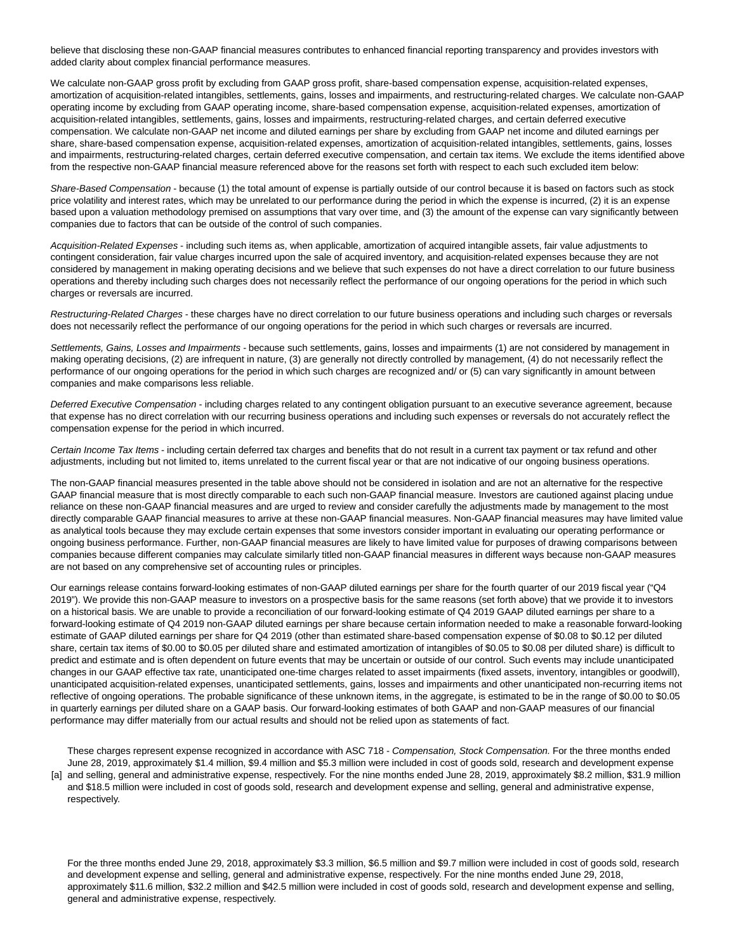believe that disclosing these non-GAAP financial measures contributes to enhanced financial reporting transparency and provides investors with added clarity about complex financial performance measures.

We calculate non-GAAP gross profit by excluding from GAAP gross profit, share-based compensation expense, acquisition-related expenses, amortization of acquisition-related intangibles, settlements, gains, losses and impairments, and restructuring-related charges. We calculate non-GAAP operating income by excluding from GAAP operating income, share-based compensation expense, acquisition-related expenses, amortization of acquisition-related intangibles, settlements, gains, losses and impairments, restructuring-related charges, and certain deferred executive compensation. We calculate non-GAAP net income and diluted earnings per share by excluding from GAAP net income and diluted earnings per share, share-based compensation expense, acquisition-related expenses, amortization of acquisition-related intangibles, settlements, gains, losses and impairments, restructuring-related charges, certain deferred executive compensation, and certain tax items. We exclude the items identified above from the respective non-GAAP financial measure referenced above for the reasons set forth with respect to each such excluded item below:

Share-Based Compensation - because (1) the total amount of expense is partially outside of our control because it is based on factors such as stock price volatility and interest rates, which may be unrelated to our performance during the period in which the expense is incurred, (2) it is an expense based upon a valuation methodology premised on assumptions that vary over time, and (3) the amount of the expense can vary significantly between companies due to factors that can be outside of the control of such companies.

Acquisition-Related Expenses - including such items as, when applicable, amortization of acquired intangible assets, fair value adjustments to contingent consideration, fair value charges incurred upon the sale of acquired inventory, and acquisition-related expenses because they are not considered by management in making operating decisions and we believe that such expenses do not have a direct correlation to our future business operations and thereby including such charges does not necessarily reflect the performance of our ongoing operations for the period in which such charges or reversals are incurred.

Restructuring-Related Charges - these charges have no direct correlation to our future business operations and including such charges or reversals does not necessarily reflect the performance of our ongoing operations for the period in which such charges or reversals are incurred.

Settlements, Gains, Losses and Impairments - because such settlements, gains, losses and impairments (1) are not considered by management in making operating decisions, (2) are infrequent in nature, (3) are generally not directly controlled by management, (4) do not necessarily reflect the performance of our ongoing operations for the period in which such charges are recognized and/ or (5) can vary significantly in amount between companies and make comparisons less reliable.

Deferred Executive Compensation - including charges related to any contingent obligation pursuant to an executive severance agreement, because that expense has no direct correlation with our recurring business operations and including such expenses or reversals do not accurately reflect the compensation expense for the period in which incurred.

Certain Income Tax Items - including certain deferred tax charges and benefits that do not result in a current tax payment or tax refund and other adjustments, including but not limited to, items unrelated to the current fiscal year or that are not indicative of our ongoing business operations.

The non-GAAP financial measures presented in the table above should not be considered in isolation and are not an alternative for the respective GAAP financial measure that is most directly comparable to each such non-GAAP financial measure. Investors are cautioned against placing undue reliance on these non-GAAP financial measures and are urged to review and consider carefully the adjustments made by management to the most directly comparable GAAP financial measures to arrive at these non-GAAP financial measures. Non-GAAP financial measures may have limited value as analytical tools because they may exclude certain expenses that some investors consider important in evaluating our operating performance or ongoing business performance. Further, non-GAAP financial measures are likely to have limited value for purposes of drawing comparisons between companies because different companies may calculate similarly titled non-GAAP financial measures in different ways because non-GAAP measures are not based on any comprehensive set of accounting rules or principles.

Our earnings release contains forward-looking estimates of non-GAAP diluted earnings per share for the fourth quarter of our 2019 fiscal year ("Q4 2019"). We provide this non-GAAP measure to investors on a prospective basis for the same reasons (set forth above) that we provide it to investors on a historical basis. We are unable to provide a reconciliation of our forward-looking estimate of Q4 2019 GAAP diluted earnings per share to a forward-looking estimate of Q4 2019 non-GAAP diluted earnings per share because certain information needed to make a reasonable forward-looking estimate of GAAP diluted earnings per share for Q4 2019 (other than estimated share-based compensation expense of \$0.08 to \$0.12 per diluted share, certain tax items of \$0.00 to \$0.05 per diluted share and estimated amortization of intangibles of \$0.05 to \$0.08 per diluted share) is difficult to predict and estimate and is often dependent on future events that may be uncertain or outside of our control. Such events may include unanticipated changes in our GAAP effective tax rate, unanticipated one-time charges related to asset impairments (fixed assets, inventory, intangibles or goodwill), unanticipated acquisition-related expenses, unanticipated settlements, gains, losses and impairments and other unanticipated non-recurring items not reflective of ongoing operations. The probable significance of these unknown items, in the aggregate, is estimated to be in the range of \$0.00 to \$0.05 in quarterly earnings per diluted share on a GAAP basis. Our forward-looking estimates of both GAAP and non-GAAP measures of our financial performance may differ materially from our actual results and should not be relied upon as statements of fact.

These charges represent expense recognized in accordance with ASC 718 - Compensation, Stock Compensation. For the three months ended June 28, 2019, approximately \$1.4 million, \$9.4 million and \$5.3 million were included in cost of goods sold, research and development expense

[a] and selling, general and administrative expense, respectively. For the nine months ended June 28, 2019, approximately \$8.2 million, \$31.9 million and \$18.5 million were included in cost of goods sold, research and development expense and selling, general and administrative expense, respectively.

For the three months ended June 29, 2018, approximately \$3.3 million, \$6.5 million and \$9.7 million were included in cost of goods sold, research and development expense and selling, general and administrative expense, respectively. For the nine months ended June 29, 2018, approximately \$11.6 million, \$32.2 million and \$42.5 million were included in cost of goods sold, research and development expense and selling, general and administrative expense, respectively.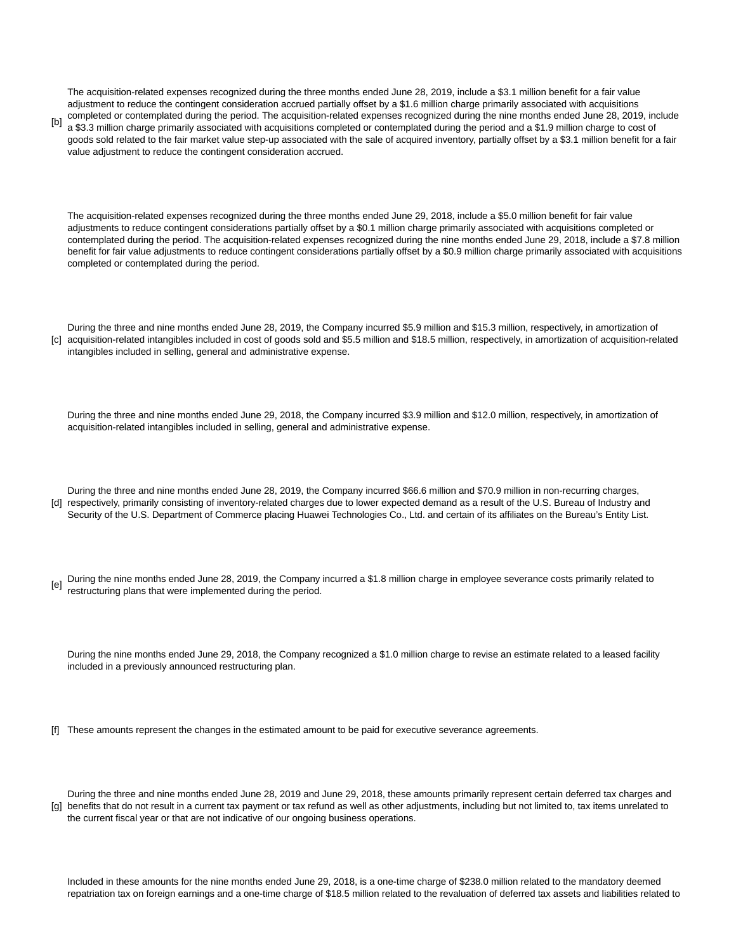The acquisition-related expenses recognized during the three months ended June 28, 2019, include a \$3.1 million benefit for a fair value adjustment to reduce the contingent consideration accrued partially offset by a \$1.6 million charge primarily associated with acquisitions completed or contemplated during the period. The acquisition-related expenses recognized during the nine months ended June 28, 2019, include

[b] a \$3.3 million charge primarily associated with acquisitions completed or contemplated during the period and a \$1.9 million charge to cost of goods sold related to the fair market value step-up associated with the sale of acquired inventory, partially offset by a \$3.1 million benefit for a fair value adjustment to reduce the contingent consideration accrued.

The acquisition-related expenses recognized during the three months ended June 29, 2018, include a \$5.0 million benefit for fair value adjustments to reduce contingent considerations partially offset by a \$0.1 million charge primarily associated with acquisitions completed or contemplated during the period. The acquisition-related expenses recognized during the nine months ended June 29, 2018, include a \$7.8 million benefit for fair value adjustments to reduce contingent considerations partially offset by a \$0.9 million charge primarily associated with acquisitions completed or contemplated during the period.

[c] acquisition-related intangibles included in cost of goods sold and \$5.5 million and \$18.5 million, respectively, in amortization of acquisition-related During the three and nine months ended June 28, 2019, the Company incurred \$5.9 million and \$15.3 million, respectively, in amortization of intangibles included in selling, general and administrative expense.

During the three and nine months ended June 29, 2018, the Company incurred \$3.9 million and \$12.0 million, respectively, in amortization of acquisition-related intangibles included in selling, general and administrative expense.

- [d] respectively, primarily consisting of inventory-related charges due to lower expected demand as a result of the U.S. Bureau of Industry and During the three and nine months ended June 28, 2019, the Company incurred \$66.6 million and \$70.9 million in non-recurring charges, Security of the U.S. Department of Commerce placing Huawei Technologies Co., Ltd. and certain of its affiliates on the Bureau's Entity List.
- [e] During the nine months ended June 28, 2019, the Company incurred a \$1.8 million charge in employee severance costs primarily related to related to rest primarily related to restructuring plans that were implemented during the period.

During the nine months ended June 29, 2018, the Company recognized a \$1.0 million charge to revise an estimate related to a leased facility included in a previously announced restructuring plan.

- [f] These amounts represent the changes in the estimated amount to be paid for executive severance agreements.
- $[a]$ During the three and nine months ended June 28, 2019 and June 29, 2018, these amounts primarily represent certain deferred tax charges and benefits that do not result in a current tax payment or tax refund as well as other adjustments, including but not limited to, tax items unrelated to the current fiscal year or that are not indicative of our ongoing business operations.

Included in these amounts for the nine months ended June 29, 2018, is a one-time charge of \$238.0 million related to the mandatory deemed repatriation tax on foreign earnings and a one-time charge of \$18.5 million related to the revaluation of deferred tax assets and liabilities related to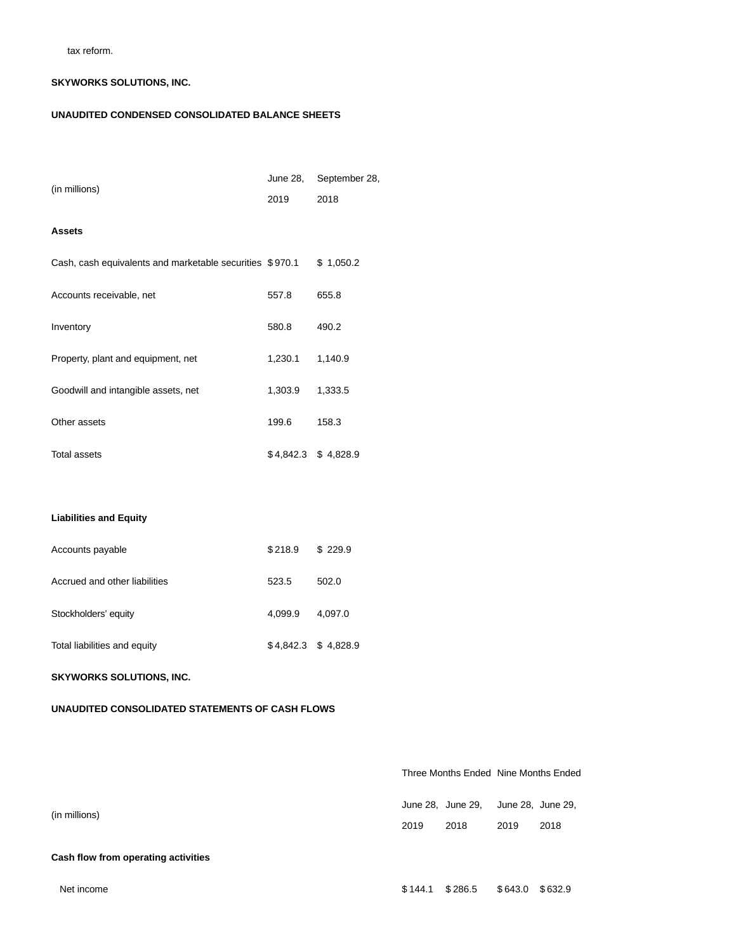tax reform.

# **SKYWORKS SOLUTIONS, INC.**

# **UNAUDITED CONDENSED CONSOLIDATED BALANCE SHEETS**

|                                                          | June 28,  | September 28,       |  |  |  |  |  |
|----------------------------------------------------------|-----------|---------------------|--|--|--|--|--|
| (in millions)                                            | 2019      | 2018                |  |  |  |  |  |
| <b>Assets</b>                                            |           |                     |  |  |  |  |  |
| Cash, cash equivalents and marketable securities \$970.1 |           | \$1,050.2           |  |  |  |  |  |
| Accounts receivable, net                                 | 557.8     | 655.8               |  |  |  |  |  |
| Inventory                                                | 580.8     | 490.2               |  |  |  |  |  |
| Property, plant and equipment, net                       | 1,230.1   | 1,140.9             |  |  |  |  |  |
| Goodwill and intangible assets, net                      | 1,303.9   | 1,333.5             |  |  |  |  |  |
| Other assets                                             | 199.6     | 158.3               |  |  |  |  |  |
| <b>Total assets</b>                                      |           | \$4,842.3 \$4,828.9 |  |  |  |  |  |
|                                                          |           |                     |  |  |  |  |  |
| <b>Liabilities and Equity</b>                            |           |                     |  |  |  |  |  |
| Accounts payable                                         | \$218.9   | \$229.9             |  |  |  |  |  |
| Accrued and other liabilities                            | 523.5     | 502.0               |  |  |  |  |  |
| Stockholders' equity                                     | 4,099.9   | 4,097.0             |  |  |  |  |  |
| Total liabilities and equity                             | \$4,842.3 | \$4,828.9           |  |  |  |  |  |
| <b>SKYWORKS SOLUTIONS, INC.</b>                          |           |                     |  |  |  |  |  |
| UNAUDITED CONSOLIDATED STATEMENTS OF CASH FLOWS          |           |                     |  |  |  |  |  |

|                                     |      |                   | Three Months Ended Nine Months Ended |      |  |
|-------------------------------------|------|-------------------|--------------------------------------|------|--|
| (in millions)                       |      | June 28, June 29, | June 28, June 29,                    |      |  |
|                                     | 2019 | 2018              | 2019                                 | 2018 |  |
| Cash flow from operating activities |      |                   |                                      |      |  |

| Net income | \$144.1 \$286.5 \$643.0 \$632.9 |  |
|------------|---------------------------------|--|
|            |                                 |  |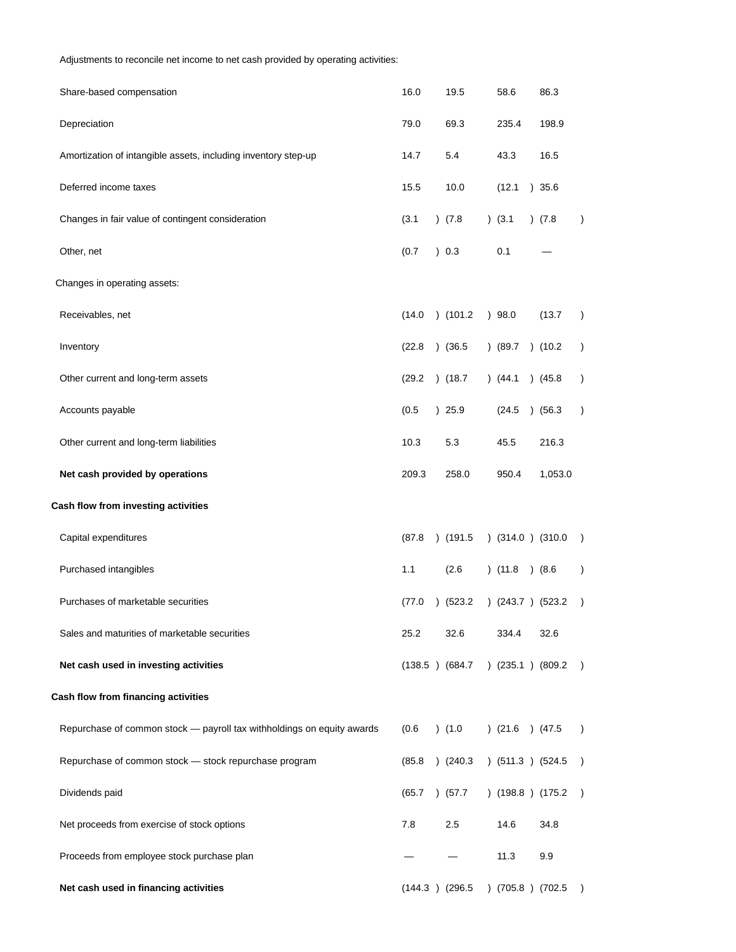Adjustments to reconcile net income to net cash provided by operating activities:

| Share-based compensation                                               | 16.0              | 19.5                | 58.6                | 86.3       |               |
|------------------------------------------------------------------------|-------------------|---------------------|---------------------|------------|---------------|
| Depreciation                                                           | 79.0              | 69.3                | 235.4               | 198.9      |               |
| Amortization of intangible assets, including inventory step-up         | 14.7              | 5.4                 | 43.3                | 16.5       |               |
| Deferred income taxes                                                  | 15.5              | 10.0                | (12.1)              | )35.6      |               |
| Changes in fair value of contingent consideration                      | (3.1)             | (7.8)               | $)$ (3.1)           | (7.8)      | $\mathcal{C}$ |
| Other, net                                                             | (0.7)             | 0.3                 | 0.1                 |            |               |
| Changes in operating assets:                                           |                   |                     |                     |            |               |
| Receivables, net                                                       | (14.0)            | (101.2)             | ) 98.0              | (13.7)     | $\mathcal{L}$ |
| Inventory                                                              | (22.8)            | $)$ (36.5)          | (89.7)              | $)$ (10.2) | $\mathcal{L}$ |
| Other current and long-term assets                                     | (29.2)            | (18.7)              | (44.1)              | (45.8)     | $\mathcal{L}$ |
| Accounts payable                                                       | (0.5)             | ) 25.9              | (24.5)              | (56.3)     | $\mathcal{L}$ |
| Other current and long-term liabilities                                | 10.3              | 5.3                 | 45.5                | 216.3      |               |
| Net cash provided by operations                                        | 209.3             | 258.0               | 950.4               | 1,053.0    |               |
| Cash flow from investing activities                                    |                   |                     |                     |            |               |
| Capital expenditures                                                   | (87.8)            | ) (191.5            | $(314.0)$ $(310.0)$ |            | $\rightarrow$ |
| Purchased intangibles                                                  | 1.1               | (2.6)               | ) (11.8             | ) (8.6     | $\mathcal{E}$ |
| Purchases of marketable securities                                     | (77.0             | (523.2)             | $(243.7)$ $(523.2)$ |            | $\lambda$     |
| Sales and maturities of marketable securities                          | 25.2              | 32.6                | 334.4               | 32.6       |               |
| Net cash used in investing activities                                  |                   | $(138.5)$ $(684.7)$ | $(235.1)$ $(809.2)$ |            | $\lambda$     |
| Cash flow from financing activities                                    |                   |                     |                     |            |               |
| Repurchase of common stock - payroll tax withholdings on equity awards | (0.6)             | (1.0)               | $(21.6)$ $(47.5)$   |            | $\lambda$     |
| Repurchase of common stock - stock repurchase program                  | (85.8)            | (240.3)             | ) (511.3 ) (524.5   |            | $\rightarrow$ |
| Dividends paid                                                         | (65.7)            | (57.7)              | ) (198.8 ) (175.2   |            | $\rightarrow$ |
| Net proceeds from exercise of stock options                            | 7.8               | 2.5                 | 14.6                | 34.8       |               |
| Proceeds from employee stock purchase plan                             |                   |                     | 11.3                | 9.9        |               |
| Net cash used in financing activities                                  | $(144.3)$ (296.5) |                     | ) (705.8 ) (702.5   |            |               |